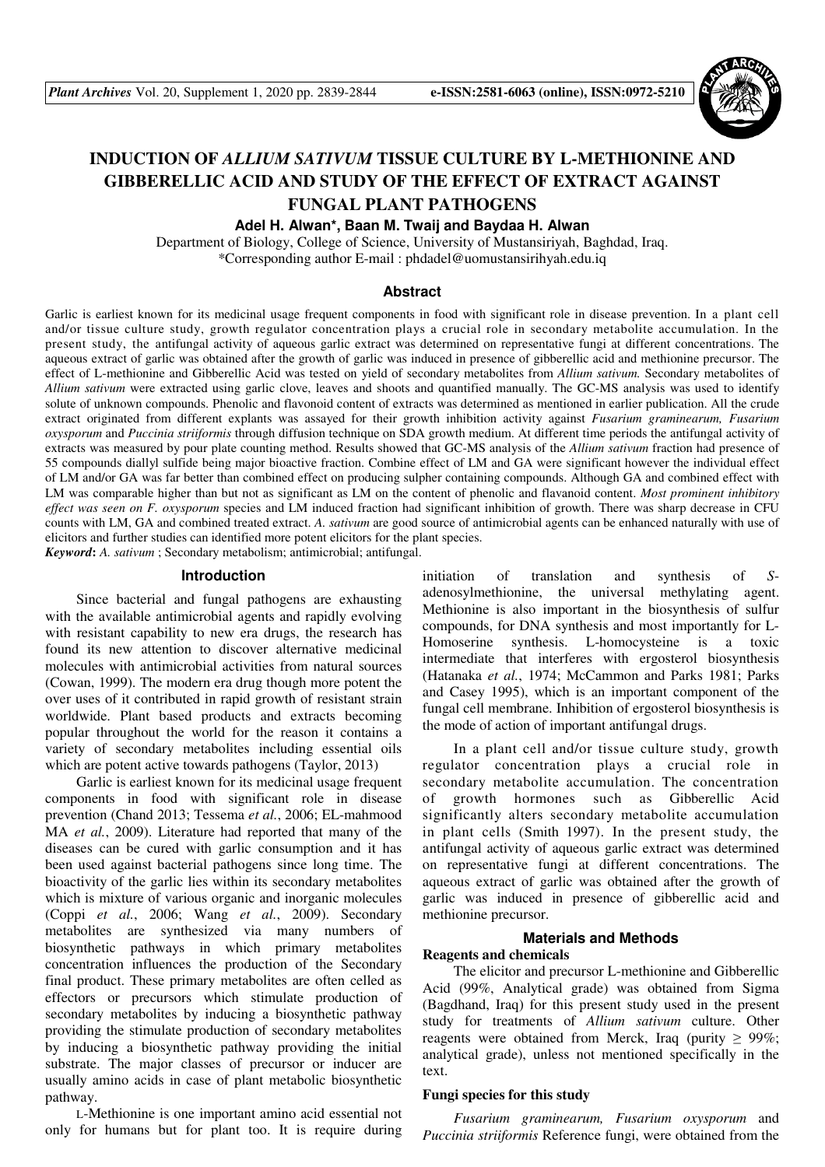

# **INDUCTION OF** *ALLIUM SATIVUM* **TISSUE CULTURE BY L-METHIONINE AND GIBBERELLIC ACID AND STUDY OF THE EFFECT OF EXTRACT AGAINST FUNGAL PLANT PATHOGENS**

**Adel H. Alwan\*, Baan M. Twaij and Baydaa H. Alwan** 

Department of Biology, College of Science, University of Mustansiriyah, Baghdad, Iraq. \*Corresponding author E-mail : phdadel@uomustansirihyah.edu.iq

#### **Abstract**

Garlic is earliest known for its medicinal usage frequent components in food with significant role in disease prevention. In a plant cell and/or tissue culture study, growth regulator concentration plays a crucial role in secondary metabolite accumulation. In the present study, the antifungal activity of aqueous garlic extract was determined on representative fungi at different concentrations. The aqueous extract of garlic was obtained after the growth of garlic was induced in presence of gibberellic acid and methionine precursor. The effect of L-methionine and Gibberellic Acid was tested on yield of secondary metabolites from *Allium sativum.* Secondary metabolites of *Allium sativum* were extracted using garlic clove, leaves and shoots and quantified manually. The GC-MS analysis was used to identify solute of unknown compounds. Phenolic and flavonoid content of extracts was determined as mentioned in earlier publication. All the crude extract originated from different explants was assayed for their growth inhibition activity against *Fusarium graminearum, Fusarium oxysporum* and *Puccinia striiformis* through diffusion technique on SDA growth medium. At different time periods the antifungal activity of extracts was measured by pour plate counting method. Results showed that GC-MS analysis of the *Allium sativum* fraction had presence of 55 compounds diallyl sulfide being major bioactive fraction. Combine effect of LM and GA were significant however the individual effect of LM and/or GA was far better than combined effect on producing sulpher containing compounds. Although GA and combined effect with LM was comparable higher than but not as significant as LM on the content of phenolic and flavanoid content. *Most prominent inhibitory effect was seen on F. oxysporum* species and LM induced fraction had significant inhibition of growth. There was sharp decrease in CFU counts with LM, GA and combined treated extract. *A. sativum* are good source of antimicrobial agents can be enhanced naturally with use of elicitors and further studies can identified more potent elicitors for the plant species. *Keyword***:** *A. sativum* ; Secondary metabolism; antimicrobial; antifungal.

**Introduction** 

Since bacterial and fungal pathogens are exhausting with the available antimicrobial agents and rapidly evolving with resistant capability to new era drugs, the research has found its new attention to discover alternative medicinal molecules with antimicrobial activities from natural sources (Cowan, 1999). The modern era drug though more potent the over uses of it contributed in rapid growth of resistant strain worldwide. Plant based products and extracts becoming popular throughout the world for the reason it contains a variety of secondary metabolites including essential oils which are potent active towards pathogens (Taylor, 2013)

Garlic is earliest known for its medicinal usage frequent components in food with significant role in disease prevention (Chand 2013; Tessema *et al.*, 2006; EL-mahmood MA *et al.*, 2009). Literature had reported that many of the diseases can be cured with garlic consumption and it has been used against bacterial pathogens since long time. The bioactivity of the garlic lies within its secondary metabolites which is mixture of various organic and inorganic molecules (Coppi *et al.*, 2006; Wang *et al.*, 2009). Secondary metabolites are synthesized via many numbers of biosynthetic pathways in which primary metabolites concentration influences the production of the Secondary final product. These primary metabolites are often celled as effectors or precursors which stimulate production of secondary metabolites by inducing a biosynthetic pathway providing the stimulate production of secondary metabolites by inducing a biosynthetic pathway providing the initial substrate. The major classes of precursor or inducer are usually amino acids in case of plant metabolic biosynthetic pathway.

L-Methionine is one important amino acid essential not only for humans but for plant too. It is require during

initiation of translation and synthesis of *S*adenosylmethionine, the universal methylating agent. Methionine is also important in the biosynthesis of sulfur compounds, for DNA synthesis and most importantly for L-Homoserine synthesis. L-homocysteine is a toxic intermediate that interferes with ergosterol biosynthesis (Hatanaka *et al.*, 1974; McCammon and Parks 1981; Parks and Casey 1995), which is an important component of the fungal cell membrane. Inhibition of ergosterol biosynthesis is the mode of action of important antifungal drugs.

In a plant cell and/or tissue culture study, growth regulator concentration plays a crucial role in secondary metabolite accumulation. The concentration of growth hormones such as Gibberellic Acid significantly alters secondary metabolite accumulation in plant cells (Smith 1997). In the present study, the antifungal activity of aqueous garlic extract was determined on representative fungi at different concentrations. The aqueous extract of garlic was obtained after the growth of garlic was induced in presence of gibberellic acid and methionine precursor.

# **Materials and Methods**

#### **Reagents and chemicals**

The elicitor and precursor L-methionine and Gibberellic Acid (99%, Analytical grade) was obtained from Sigma (Bagdhand, Iraq) for this present study used in the present study for treatments of *Allium sativum* culture. Other reagents were obtained from Merck, Iraq (purity  $\geq 99\%$ ; analytical grade), unless not mentioned specifically in the text.

#### **Fungi species for this study**

*Fusarium graminearum, Fusarium oxysporum* and *Puccinia striiformis* Reference fungi, were obtained from the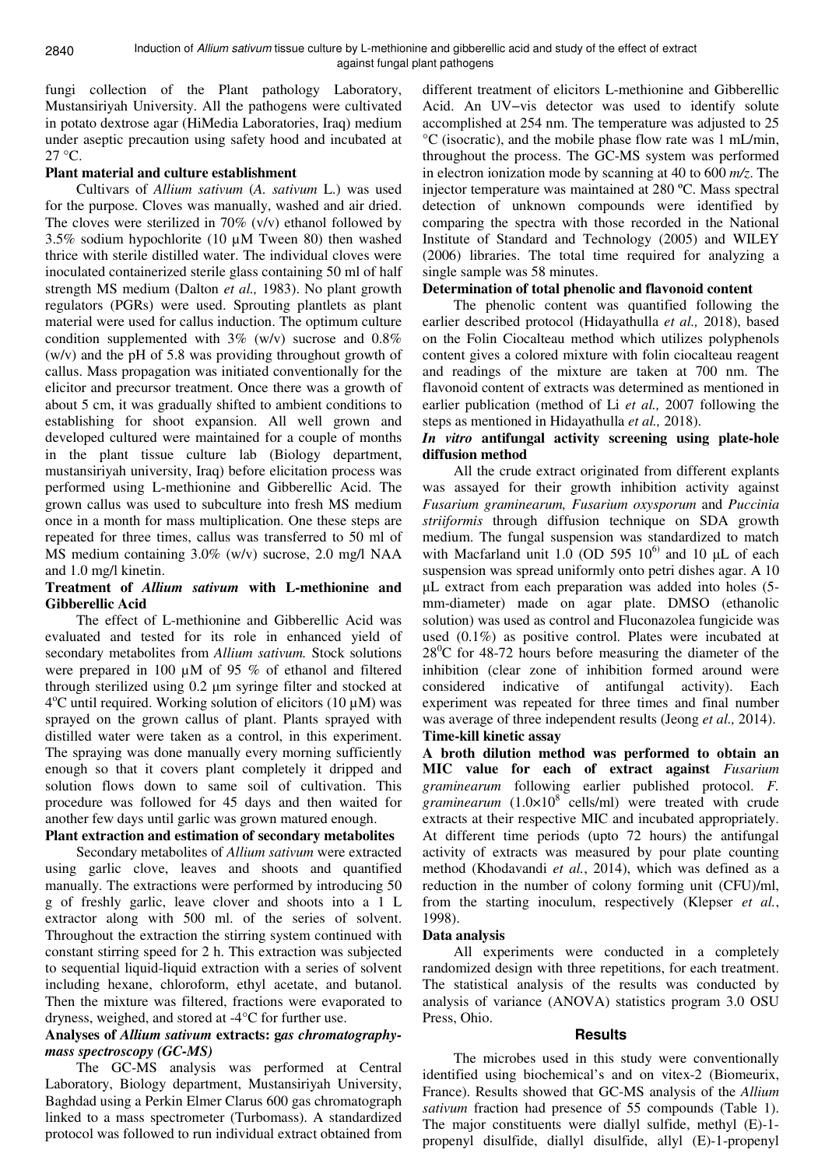fungi collection of the Plant pathology Laboratory, Mustansiriyah University. All the pathogens were cultivated in potato dextrose agar (HiMedia Laboratories, Iraq) medium under aseptic precaution using safety hood and incubated at  $27^{\circ}$ C.

### **Plant material and culture establishment**

Cultivars of *Allium sativum* (*A. sativum* L.) was used for the purpose. Cloves was manually, washed and air dried. The cloves were sterilized in 70% (v/v) ethanol followed by 3.5% sodium hypochlorite (10 µM Tween 80) then washed thrice with sterile distilled water. The individual cloves were inoculated containerized sterile glass containing 50 ml of half strength MS medium (Dalton *et al.,* 1983). No plant growth regulators (PGRs) were used. Sprouting plantlets as plant material were used for callus induction. The optimum culture condition supplemented with  $3\%$  (w/v) sucrose and  $0.8\%$ (w/v) and the pH of 5.8 was providing throughout growth of callus. Mass propagation was initiated conventionally for the elicitor and precursor treatment. Once there was a growth of about 5 cm, it was gradually shifted to ambient conditions to establishing for shoot expansion. All well grown and developed cultured were maintained for a couple of months in the plant tissue culture lab (Biology department, mustansiriyah university, Iraq) before elicitation process was performed using L-methionine and Gibberellic Acid. The grown callus was used to subculture into fresh MS medium once in a month for mass multiplication. One these steps are repeated for three times, callus was transferred to 50 ml of MS medium containing 3.0% (w/v) sucrose, 2.0 mg/l NAA and 1.0 mg/l kinetin.

#### **Treatment of** *Allium sativum* **with L-methionine and Gibberellic Acid**

The effect of L-methionine and Gibberellic Acid was evaluated and tested for its role in enhanced yield of secondary metabolites from *Allium sativum.* Stock solutions were prepared in 100 µM of 95 % of ethanol and filtered through sterilized using 0.2 µm syringe filter and stocked at 4°C until required. Working solution of elicitors (10 μM) was sprayed on the grown callus of plant. Plants sprayed with distilled water were taken as a control, in this experiment. The spraying was done manually every morning sufficiently enough so that it covers plant completely it dripped and solution flows down to same soil of cultivation. This procedure was followed for 45 days and then waited for another few days until garlic was grown matured enough.

# **Plant extraction and estimation of secondary metabolites**

Secondary metabolites of *Allium sativum* were extracted using garlic clove, leaves and shoots and quantified manually. The extractions were performed by introducing 50 g of freshly garlic, leave clover and shoots into a 1 L extractor along with 500 ml. of the series of solvent. Throughout the extraction the stirring system continued with constant stirring speed for 2 h. This extraction was subjected to sequential liquid-liquid extraction with a series of solvent including hexane, chloroform, ethyl acetate, and butanol. Then the mixture was filtered, fractions were evaporated to dryness, weighed, and stored at -4°C for further use.

# **Analyses of** *Allium sativum* **extracts: g***as chromatographymass spectroscopy (GC-MS)*

The GC-MS analysis was performed at Central Laboratory, Biology department, Mustansiriyah University, Baghdad using a Perkin Elmer Clarus 600 gas chromatograph linked to a mass spectrometer (Turbomass). A standardized protocol was followed to run individual extract obtained from

different treatment of elicitors L-methionine and Gibberellic Acid. An UV−vis detector was used to identify solute accomplished at 254 nm. The temperature was adjusted to 25 °C (isocratic), and the mobile phase flow rate was 1 mL/min, throughout the process. The GC-MS system was performed in electron ionization mode by scanning at 40 to 600 *m/z*. The injector temperature was maintained at 280 ºC. Mass spectral detection of unknown compounds were identified by comparing the spectra with those recorded in the National Institute of Standard and Technology (2005) and WILEY (2006) libraries. The total time required for analyzing a single sample was 58 minutes.

### **Determination of total phenolic and flavonoid content**

The phenolic content was quantified following the earlier described protocol (Hidayathulla *et al.,* 2018), based on the Folin Ciocalteau method which utilizes polyphenols content gives a colored mixture with folin ciocalteau reagent and readings of the mixture are taken at 700 nm. The flavonoid content of extracts was determined as mentioned in earlier publication (method of Li *et al.,* 2007 following the steps as mentioned in Hidayathulla *et al.,* 2018).

# *In vitro* **antifungal activity screening using plate-hole diffusion method**

All the crude extract originated from different explants was assayed for their growth inhibition activity against *Fusarium graminearum, Fusarium oxysporum* and *Puccinia striiformis* through diffusion technique on SDA growth medium. The fungal suspension was standardized to match with Macfarland unit 1.0 (OD 595  $10^{6}$ ) and 10  $\mu$ L of each suspension was spread uniformly onto petri dishes agar. A 10 µL extract from each preparation was added into holes (5 mm-diameter) made on agar plate. DMSO (ethanolic solution) was used as control and Fluconazolea fungicide was used (0.1%) as positive control. Plates were incubated at  $28^{\circ}$ C for 48-72 hours before measuring the diameter of the inhibition (clear zone of inhibition formed around were considered indicative of antifungal activity). Each experiment was repeated for three times and final number was average of three independent results (Jeong *et al.,* 2014). **Time-kill kinetic assay** 

**A broth dilution method was performed to obtain an MIC value for each of extract against** *Fusarium graminearum* following earlier published protocol. *F.*   $graminearum$   $(1.0 \times 10^8$  cells/ml) were treated with crude extracts at their respective MIC and incubated appropriately. At different time periods (upto 72 hours) the antifungal activity of extracts was measured by pour plate counting method (Khodavandi *et al.*, 2014), which was defined as a reduction in the number of colony forming unit (CFU)/ml, from the starting inoculum, respectively (Klepser *et al.*, 1998).

#### **Data analysis**

All experiments were conducted in a completely randomized design with three repetitions, for each treatment. The statistical analysis of the results was conducted by analysis of variance (ANOVA) statistics program 3.0 OSU Press, Ohio.

#### **Results**

The microbes used in this study were conventionally identified using biochemical's and on vitex-2 (Biomeurix, France). Results showed that GC-MS analysis of the *Allium sativum* fraction had presence of 55 compounds (Table 1). The major constituents were diallyl sulfide, methyl (E)-1 propenyl disulfide, diallyl disulfide, allyl (E)-1-propenyl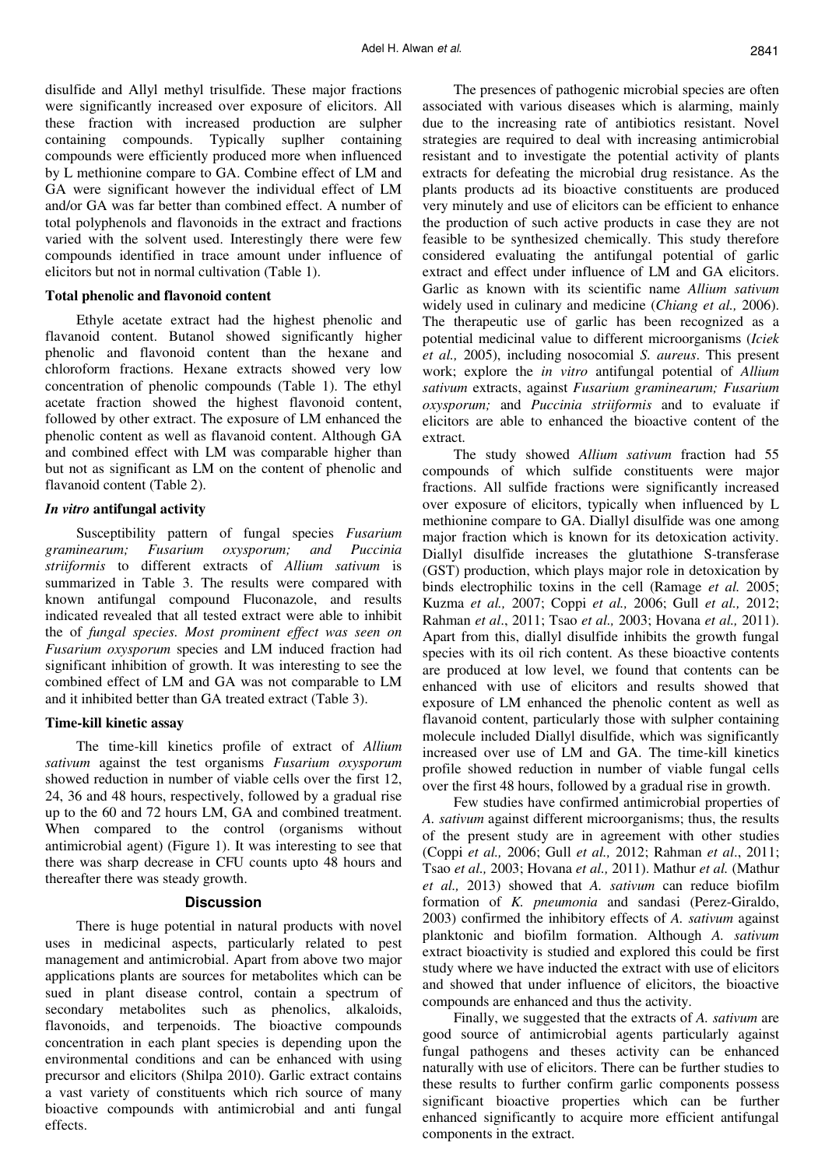disulfide and Allyl methyl trisulfide. These major fractions were significantly increased over exposure of elicitors. All these fraction with increased production are sulpher containing compounds. Typically suplher containing compounds were efficiently produced more when influenced by L methionine compare to GA. Combine effect of LM and GA were significant however the individual effect of LM and/or GA was far better than combined effect. A number of total polyphenols and flavonoids in the extract and fractions varied with the solvent used. Interestingly there were few compounds identified in trace amount under influence of elicitors but not in normal cultivation (Table 1).

#### **Total phenolic and flavonoid content**

Ethyle acetate extract had the highest phenolic and flavanoid content. Butanol showed significantly higher phenolic and flavonoid content than the hexane and chloroform fractions. Hexane extracts showed very low concentration of phenolic compounds (Table 1). The ethyl acetate fraction showed the highest flavonoid content, followed by other extract. The exposure of LM enhanced the phenolic content as well as flavanoid content. Although GA and combined effect with LM was comparable higher than but not as significant as LM on the content of phenolic and flavanoid content (Table 2).

#### *In vitro* **antifungal activity**

Susceptibility pattern of fungal species *Fusarium graminearum; Fusarium oxysporum; and Puccinia striiformis* to different extracts of *Allium sativum* is summarized in Table 3. The results were compared with known antifungal compound Fluconazole, and results indicated revealed that all tested extract were able to inhibit the of *fungal species. Most prominent effect was seen on Fusarium oxysporum* species and LM induced fraction had significant inhibition of growth. It was interesting to see the combined effect of LM and GA was not comparable to LM and it inhibited better than GA treated extract (Table 3).

#### **Time-kill kinetic assay**

The time-kill kinetics profile of extract of *Allium sativum* against the test organisms *Fusarium oxysporum* showed reduction in number of viable cells over the first 12, 24, 36 and 48 hours, respectively, followed by a gradual rise up to the 60 and 72 hours LM, GA and combined treatment. When compared to the control (organisms without antimicrobial agent) (Figure 1). It was interesting to see that there was sharp decrease in CFU counts upto 48 hours and thereafter there was steady growth.

#### **Discussion**

There is huge potential in natural products with novel uses in medicinal aspects, particularly related to pest management and antimicrobial. Apart from above two major applications plants are sources for metabolites which can be sued in plant disease control, contain a spectrum of secondary metabolites such as phenolics, alkaloids, flavonoids, and terpenoids. The bioactive compounds concentration in each plant species is depending upon the environmental conditions and can be enhanced with using precursor and elicitors (Shilpa 2010). Garlic extract contains a vast variety of constituents which rich source of many bioactive compounds with antimicrobial and anti fungal effects.

The presences of pathogenic microbial species are often associated with various diseases which is alarming, mainly due to the increasing rate of antibiotics resistant. Novel strategies are required to deal with increasing antimicrobial resistant and to investigate the potential activity of plants extracts for defeating the microbial drug resistance. As the plants products ad its bioactive constituents are produced very minutely and use of elicitors can be efficient to enhance the production of such active products in case they are not feasible to be synthesized chemically. This study therefore considered evaluating the antifungal potential of garlic extract and effect under influence of LM and GA elicitors. Garlic as known with its scientific name *Allium sativum*  widely used in culinary and medicine (*Chiang et al.,* 2006). The therapeutic use of garlic has been recognized as a potential medicinal value to different microorganisms (*Iciek et al.,* 2005), including nosocomial *S. aureus*. This present work; explore the *in vitro* antifungal potential of *Allium sativum* extracts, against *Fusarium graminearum; Fusarium oxysporum;* and *Puccinia striiformis* and to evaluate if elicitors are able to enhanced the bioactive content of the extract.

The study showed *Allium sativum* fraction had 55 compounds of which sulfide constituents were major fractions. All sulfide fractions were significantly increased over exposure of elicitors, typically when influenced by L methionine compare to GA. Diallyl disulfide was one among major fraction which is known for its detoxication activity. Diallyl disulfide increases the glutathione S-transferase (GST) production, which plays major role in detoxication by binds electrophilic toxins in the cell (Ramage *et al.* 2005; Kuzma *et al.,* 2007; Coppi *et al.,* 2006; Gull *et al.,* 2012; Rahman *et al*., 2011; Tsao *et al.,* 2003; Hovana *et al.,* 2011). Apart from this, diallyl disulfide inhibits the growth fungal species with its oil rich content. As these bioactive contents are produced at low level, we found that contents can be enhanced with use of elicitors and results showed that exposure of LM enhanced the phenolic content as well as flavanoid content, particularly those with sulpher containing molecule included Diallyl disulfide, which was significantly increased over use of LM and GA. The time-kill kinetics profile showed reduction in number of viable fungal cells over the first 48 hours, followed by a gradual rise in growth.

Few studies have confirmed antimicrobial properties of *A. sativum* against different microorganisms; thus, the results of the present study are in agreement with other studies (Coppi *et al.,* 2006; Gull *et al.,* 2012; Rahman *et al*., 2011; Tsao *et al.,* 2003; Hovana *et al.,* 2011). Mathur *et al.* (Mathur *et al.,* 2013) showed that *A. sativum* can reduce biofilm formation of *K. pneumonia* and sandasi (Perez-Giraldo, 2003) confirmed the inhibitory effects of *A. sativum* against planktonic and biofilm formation. Although *A. sativum* extract bioactivity is studied and explored this could be first study where we have inducted the extract with use of elicitors and showed that under influence of elicitors, the bioactive compounds are enhanced and thus the activity.

Finally, we suggested that the extracts of *A. sativum* are good source of antimicrobial agents particularly against fungal pathogens and theses activity can be enhanced naturally with use of elicitors. There can be further studies to these results to further confirm garlic components possess significant bioactive properties which can be further enhanced significantly to acquire more efficient antifungal components in the extract.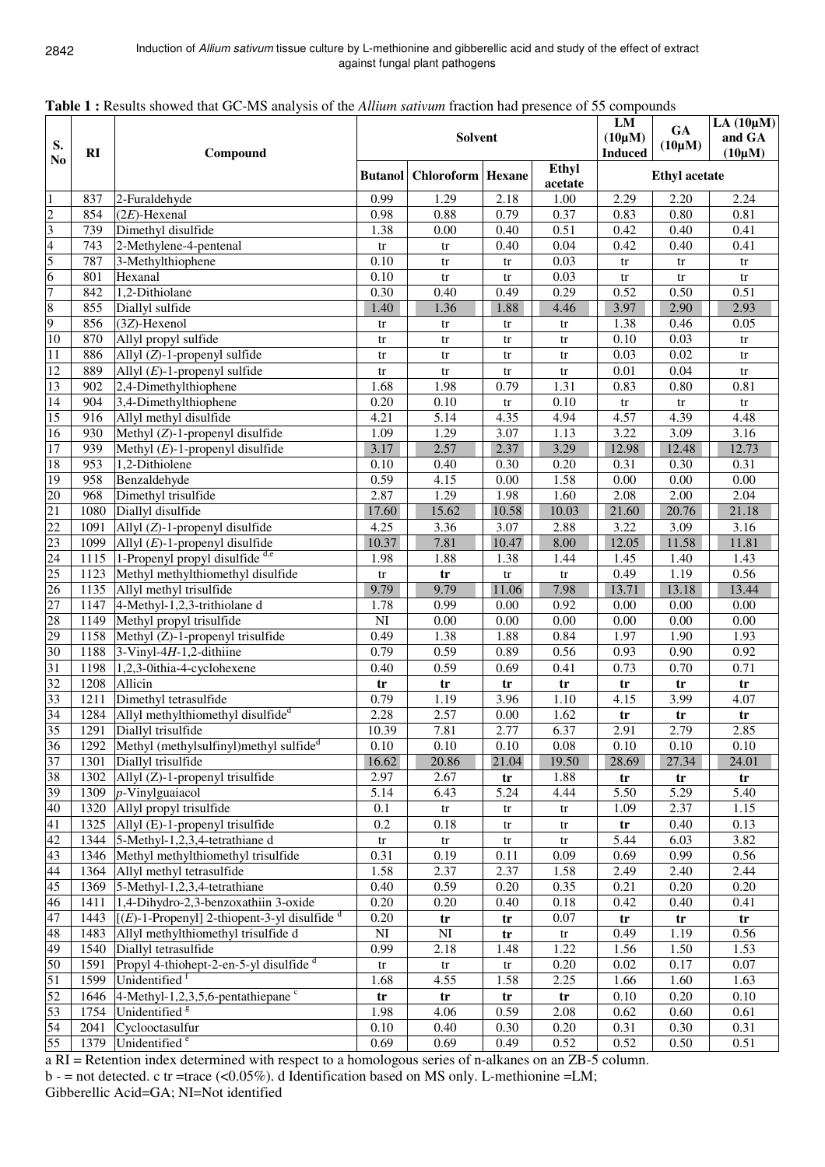|                                           |              | <b>Table 1.</b> Kesuits showed that OC-MS analysis of the <i>Attitum suitvum</i> fraction had presence of 33 compounds |                        |                                    |                        | LM                            | <b>GA</b>              | LA $(10\mu M)$        |                        |
|-------------------------------------------|--------------|------------------------------------------------------------------------------------------------------------------------|------------------------|------------------------------------|------------------------|-------------------------------|------------------------|-----------------------|------------------------|
| S.<br>N <sub>0</sub>                      | RI           | Compound                                                                                                               |                        | Solvent                            |                        | $(10\mu M)$<br><b>Induced</b> | $(10\mu M)$            | and GA<br>$(10\mu M)$ |                        |
|                                           |              |                                                                                                                        |                        | <b>Butanol</b> Chloroform   Hexane |                        | Ethyl<br>acetate              |                        | <b>Ethyl</b> acetate  |                        |
| $\overline{1}$                            | 837          | 2-Furaldehyde                                                                                                          | 0.99                   | 1.29                               | 2.18                   | 1.00                          | 2.29                   | 2.20                  | 2.24                   |
| $\frac{2}{3}$ $\frac{3}{5}$ $\frac{4}{5}$ | 854          | $(2E)$ -Hexenal                                                                                                        | 0.98                   | 0.88                               | 0.79                   | 0.37                          | 0.83                   | 0.80                  | 0.81                   |
|                                           | 739          | Dimethyl disulfide                                                                                                     | 1.38                   | 0.00                               | 0.40                   | 0.51                          | 0.42                   | 0.40                  | 0.41                   |
|                                           | 743          | 2-Methylene-4-pentenal                                                                                                 | $\mathop{\mathrm{tr}}$ | tr                                 | 0.40                   | 0.04                          | 0.42                   | 0.40                  | 0.41                   |
|                                           | 787          | 3-Methylthiophene                                                                                                      | 0.10                   | tr                                 | $\mathop{\mathrm{tr}}$ | 0.03                          | $\mathop{\mathrm{tr}}$ | ${\rm tr}$            | $\mathop{\mathrm{tr}}$ |
|                                           | 801          | Hexanal                                                                                                                | 0.10                   | tr                                 | tr                     | 0.03                          | tr                     | tr                    | tr                     |
| $\overline{7}$                            | 842          | 1,2-Dithiolane                                                                                                         | 0.30                   | 0.40                               | 0.49                   | 0.29                          | 0.52                   | 0.50                  | 0.51                   |
| $\frac{8}{9}$                             | 855          | Diallyl sulfide                                                                                                        | 1.40                   | 1.36                               | 1.88                   | 4.46                          | 3.97                   | 2.90                  | 2.93                   |
|                                           | 856          | $(3Z)$ -Hexenol                                                                                                        | tr                     | tr                                 | tr                     | tr                            | 1.38                   | 0.46                  | 0.05                   |
| 10                                        | 870          | Allyl propyl sulfide                                                                                                   | tr                     | tr                                 | tr                     | tr                            | 0.10                   | 0.03                  | tr                     |
| $\overline{11}$                           | 886          | Allyl $(Z)$ -1-propenyl sulfide                                                                                        | tr                     | tr                                 | tr                     | tr                            | 0.03                   | 0.02                  | tr                     |
| $\overline{12}$                           | 889          | Allyl $(E)$ -1-propenyl sulfide                                                                                        | tr                     | tr                                 | tr                     | ${\rm tr}$                    | 0.01                   | 0.04                  | tr                     |
| 13                                        | 902          | $2,4$ -Dimethylthiophene                                                                                               | 1.68                   | 1.98                               | 0.79                   | 1.31                          | 0.83                   | 0.80                  | 0.81                   |
| 14                                        | 904          | 3,4-Dimethylthiophene                                                                                                  | 0.20                   | 0.10                               | tr                     | 0.10                          | tr                     | tr                    | tr                     |
| 15                                        | 916          | Allyl methyl disulfide                                                                                                 | 4.21                   | 5.14                               | 4.35                   | 4.94                          | 4.57                   | 4.39                  | 4.48                   |
| 16<br>17                                  | 930          | Methyl $\overline{(Z)}$ -1-propenyl disulfide                                                                          | 1.09                   | 1.29                               | 3.07                   | 1.13                          | 3.22                   | 3.09                  | 3.16                   |
|                                           | 939<br>953   | Methyl $(E)$ -1-propenyl disulfide                                                                                     | 3.17                   | 2.57                               | 2.37                   | 3.29                          | 12.98                  | 12.48                 | 12.73                  |
| 18<br>19                                  |              | 1,2-Dithiolene                                                                                                         | 0.10<br>0.59           | 0.40                               | 0.30                   | 0.20                          | 0.31                   | 0.30                  | 0.31                   |
|                                           | 958          | Benzaldehyde                                                                                                           |                        | 4.15                               | $0.00\,$               | 1.58                          | 0.00                   | 0.00                  | $\overline{0.00}$      |
| 20<br>21                                  | 968          | Dimethyl trisulfide                                                                                                    | 2.87                   | 1.29                               | 1.98                   | 1.60                          | 2.08                   | 2.00                  | 2.04                   |
| $\overline{22}$                           | 1080         | Diallyl disulfide                                                                                                      | 17.60                  | 15.62                              | 10.58                  | 10.03                         | 21.60                  | 20.76                 | 21.18                  |
|                                           | 1091         | Allyl $(Z)$ -1-propenyl disulfide                                                                                      | 4.25                   | 3.36                               | 3.07                   | 2.88                          | 3.22                   | 3.09                  | $\overline{3.16}$      |
| 23<br>24                                  | 1099<br>1115 | Allyl $(E)$ -1-propenyl disulfide<br>1-Propenyl propyl disulfide d,e                                                   | 10.37                  | 7.81                               | 10.47                  | 8.00                          | 12.05                  | 11.58                 | 11.81                  |
| 25                                        | 1123         |                                                                                                                        | 1.98                   | 1.88                               | 1.38                   | 1.44                          | 1.45<br>0.49           | 1.40<br>1.19          | 1.43<br>0.56           |
| 26                                        | 1135         | Methyl methylthiomethyl disulfide<br>Allyl methyl trisulfide                                                           | tr<br>9.79             | tr<br>9.79                         | $\mathop{\mathrm{tr}}$ | tr<br>7.98                    | 13.71                  |                       | 13.44                  |
| $\overline{27}$                           | 1147         | 4-Methyl-1,2,3-trithiolane d                                                                                           | 1.78                   | 0.99                               | 11.06<br>0.00          | 0.92                          | 0.00                   | 13.18<br>0.00         | $\overline{0.00}$      |
| 28                                        | 1149         | Methyl propyl trisulfide                                                                                               | $\mathbf{N}\mathbf{I}$ | 0.00                               | $0.00\,$               | 0.00                          | $0.00\,$               | 0.00                  | $0.00\,$               |
| 29                                        | 1158         |                                                                                                                        | 0.49                   |                                    | 1.88                   | 0.84                          | 1.97                   | 1.90                  | 1.93                   |
| 30                                        | 1188         | Methyl (Z)-1-propenyl trisulfide<br>$3-Vinyl-4H-1,2-dithiine$                                                          | 0.79                   | 1.38<br>0.59                       | 0.89                   | 0.56                          | 0.93                   | 0.90                  | 0.92                   |
| 31                                        | 1198         | 1,2,3-0ithia-4-cyclohexene                                                                                             | 0.40                   | 0.59                               | 0.69                   | 0.41                          | 0.73                   | 0.70                  | 0.71                   |
| 32                                        | 1208         | Allicin                                                                                                                |                        |                                    |                        |                               |                        |                       |                        |
| 33                                        | 1211         | Dimethyl tetrasulfide                                                                                                  | tr<br>0.79             | tr<br>1.19                         | tr<br>3.96             | tr<br>1.10                    | tr<br>4.15             | tr<br>3.99            | tr<br>4.07             |
| 34                                        |              | 1284 Allyl methylthiomethyl disulfide <sup>d</sup>                                                                     | 2.28                   | 2.57                               | 0.00                   | 1.62                          |                        |                       |                        |
| 35                                        |              | 1291 Diallyl trisulfide                                                                                                | 10.39                  | 7.81                               | 2.77                   | 6.37                          | tr<br>2.91             | tr<br>2.79            | tr<br>2.85             |
| 36                                        | 1292         | Methyl (methylsulfinyl)methyl sulfide <sup>d</sup>                                                                     | 0.10                   | 0.10                               | 0.10                   | 0.08                          | 0.10                   | 0.10                  | 0.10                   |
| $\overline{37}$                           | 1301         | Diallyl trisulfide                                                                                                     | 16.62                  | 20.86                              | 21.04                  | 19.50                         | 28.69                  | 27.34                 | 24.01                  |
| $\overline{38}$                           | 1302         | Allyl $(Z)$ -1-propenyl trisulfide                                                                                     | 2.97                   | 2.67                               | tr                     | 1.88                          | tr                     | tr                    | tr                     |
| 39                                        | 1309         | $p$ -Vinylguaiacol                                                                                                     | 5.14                   | 6.43                               | 5.24                   | 4.44                          | 5.50                   | 5.29                  | 5.40                   |
| 40                                        | 1320         | Allyl propyl trisulfide                                                                                                | 0.1                    | tr                                 |                        | tr                            | 1.09                   | 2.37                  | 1.15                   |
| 41                                        | 1325         | Allyl (E)-1-propenyl trisulfide                                                                                        | 0.2                    | 0.18                               | tr                     |                               |                        | 0.40                  | 0.13                   |
| 42                                        | 1344         | 5-Methyl-1,2,3,4-tetrathiane d                                                                                         | $\mathop{\mathrm{tr}}$ | tr                                 | tr<br>tr               | tr<br>tr                      | tr<br>5.44             | 6.03                  | 3.82                   |
| 43                                        | 1346         | Methyl methylthiomethyl trisulfide                                                                                     | 0.31                   | 0.19                               | 0.11                   | 0.09                          | 0.69                   | 0.99                  | 0.56                   |
| 44                                        | 1364         | Allyl methyl tetrasulfide                                                                                              | 1.58                   | 2.37                               | 2.37                   | 1.58                          | 2.49                   | 2.40                  | 2.44                   |
| 45                                        |              | 1369 5-Methyl-1,2,3,4-tetrathiane                                                                                      | 0.40                   | 0.59                               | $0.20\,$               | 0.35                          | 0.21                   | 0.20                  | 0.20                   |
| 46                                        | 1411         | 1,4-Dihydro-2,3-benzoxathiin 3-oxide                                                                                   | 0.20                   | 0.20                               | 0.40                   | 0.18                          | 0.42                   | 0.40                  | 0.41                   |
| 47                                        | 1443         | $[(E)-1-Propenyl]$ 2-thiopent-3-yl disulfide $d$                                                                       | 0.20                   |                                    |                        | 0.07                          |                        |                       |                        |
| 48                                        | 1483         | Allyl methylthiomethyl trisulfide d                                                                                    | $\mathbf{N}\mathbf{I}$ | tr<br>$\mathbf{N}\mathbf{I}$       | tr<br>tr               | tr                            | tr<br>0.49             | ${\rm tr}$<br>1.19    | tr<br>0.56             |
| 49                                        | 1540         | Diallyl tetrasulfide                                                                                                   | 0.99                   | 2.18                               | 1.48                   | 1.22                          | 1.56                   | 1.50                  | 1.53                   |
| 50                                        | 1591         | Propyl 4-thiohept-2-en-5-yl disulfide <sup>d</sup>                                                                     |                        |                                    |                        | 0.20                          | 0.02                   | 0.17                  | 0.07                   |
| 51                                        | 1599         | Unidentified <sup>1</sup>                                                                                              | tr<br>1.68             | tr<br>4.55                         | tr<br>1.58             | 2.25                          | 1.66                   | 1.60                  | 1.63                   |
| $\overline{52}$                           | 1646         | 4-Methyl-1,2,3,5,6-pentathiepane <sup>c</sup>                                                                          |                        | tr                                 |                        | tr                            | 0.10                   | 0.20                  | 0.10                   |
| 53                                        | 1754         | Unidentified <sup>8</sup>                                                                                              | tr<br>1.98             | 4.06                               | tr<br>0.59             | 2.08                          | 0.62                   | 0.60                  | 0.61                   |
| 54                                        | 2041         | Cyclooctasulfur                                                                                                        | $0.10\,$               | 0.40                               | 0.30                   | 0.20                          | 0.31                   | 0.30                  | 0.31                   |
| 55                                        | 1379         | Unidentified <sup>e</sup>                                                                                              | 0.69                   | 0.69                               | 0.49                   | 0.52                          | 0.52                   | 0.50                  | 0.51                   |
|                                           |              |                                                                                                                        |                        |                                    |                        |                               |                        |                       |                        |

|  |  |  |  |  |  |  | Table 1 : Results showed that GC-MS analysis of the <i>Allium sativum</i> fraction had presence of 55 compounds |
|--|--|--|--|--|--|--|-----------------------------------------------------------------------------------------------------------------|
|  |  |  |  |  |  |  |                                                                                                                 |

a RI = Retention index determined with respect to a homologous series of n-alkanes on an ZB-5 column.

b - = not detected. c tr =trace (<0.05%). d Identification based on MS only. L-methionine =LM; Gibberellic Acid=GA; NI=Not identified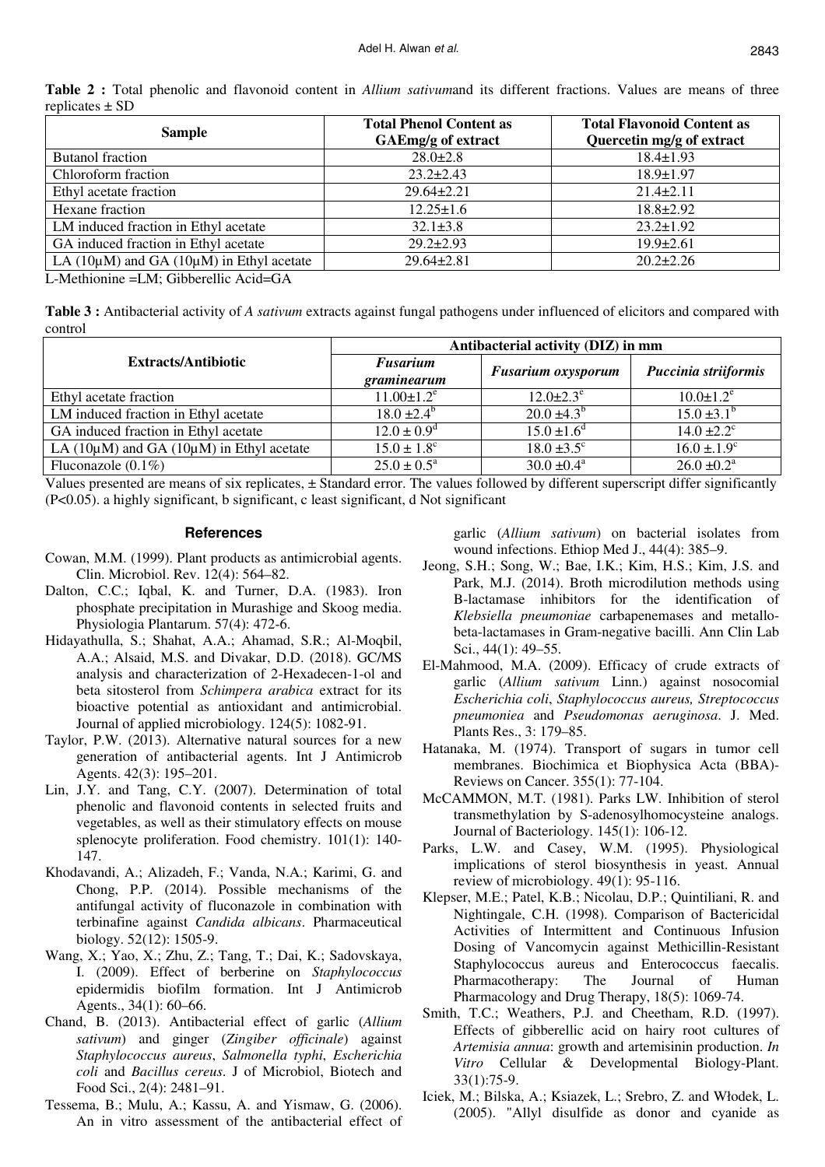| <b>Sample</b>                                      | <b>Total Phenol Content as</b><br>GAEmg/g of extract | <b>Total Flavonoid Content as</b><br>Quercetin mg/g of extract |  |  |  |
|----------------------------------------------------|------------------------------------------------------|----------------------------------------------------------------|--|--|--|
| <b>Butanol</b> fraction                            | $28.0 \pm 2.8$                                       | $18.4 \pm 1.93$                                                |  |  |  |
| Chloroform fraction                                | $23.2 \pm 2.43$                                      | $18.9 \pm 1.97$                                                |  |  |  |
| Ethyl acetate fraction                             | $29.64 \pm 2.21$                                     | $21.4 \pm 2.11$                                                |  |  |  |
| Hexane fraction                                    | $12.25 \pm 1.6$                                      | $18.8 \pm 2.92$                                                |  |  |  |
| LM induced fraction in Ethyl acetate               | $32.1 \pm 3.8$                                       | $23.2 \pm 1.92$                                                |  |  |  |
| GA induced fraction in Ethyl acetate               | $29.2 \pm 2.93$                                      | $19.9 \pm 2.61$                                                |  |  |  |
| LA $(10\mu M)$ and GA $(10\mu M)$ in Ethyl acetate | $29.64 \pm 2.81$                                     | $20.2 \pm 2.26$                                                |  |  |  |

**Table 2 :** Total phenolic and flavonoid content in *Allium sativum*and its different fractions. Values are means of three replicates ± SD

L-Methionine =LM; Gibberellic Acid=GA

**Table 3 :** Antibacterial activity of *A sativum* extracts against fungal pathogens under influenced of elicitors and compared with control

|                                                      | Antibacterial activity (DIZ) in mm |                           |                             |  |  |  |  |
|------------------------------------------------------|------------------------------------|---------------------------|-----------------------------|--|--|--|--|
| <b>Extracts/Antibiotic</b>                           | <b>Fusarium</b><br>graminearum     | <b>Fusarium oxysporum</b> | Puccinia striiformis        |  |  |  |  |
| Ethyl acetate fraction                               | $11.00 \pm 1.2$ <sup>e</sup>       | $12.0 \pm 2.3^e$          | $10.0 \pm 1.2^e$            |  |  |  |  |
| LM induced fraction in Ethyl acetate                 | $18.0 \pm 2.4^{\rm b}$             | $20.0 \pm 4.3^{\rm b}$    | $15.0 \pm 3.1^{\rm b}$      |  |  |  |  |
| GA induced fraction in Ethyl acetate                 | $12.0 \pm 0.9^d$                   | $15.0 \pm 1.6^d$          | $14.0 \pm 2.2$ <sup>c</sup> |  |  |  |  |
| LA ( $10\mu$ M) and GA ( $10\mu$ M) in Ethyl acetate | $15.0 \pm 1.8$ <sup>c</sup>        | $18.0 \pm 3.5$ °          | $16.0 \pm 1.9$ <sup>c</sup> |  |  |  |  |
| Fluconazole $(0.1\%)$                                | $25.0 \pm 0.5^{\text{a}}$          | $30.0 \pm 0.4^{\text{a}}$ | $26.0 \pm 0.2^{\text{a}}$   |  |  |  |  |

Values presented are means of six replicates, ± Standard error. The values followed by different superscript differ significantly (P<0.05). a highly significant, b significant, c least significant, d Not significant

#### **References**

- Cowan, M.M. (1999). Plant products as antimicrobial agents. Clin. Microbiol. Rev. 12(4): 564–82.
- Dalton, C.C.; Iqbal, K. and Turner, D.A. (1983). Iron phosphate precipitation in Murashige and Skoog media. Physiologia Plantarum. 57(4): 472-6.
- Hidayathulla, S.; Shahat, A.A.; Ahamad, S.R.; Al-Moqbil, A.A.; Alsaid, M.S. and Divakar, D.D. (2018). GC/MS analysis and characterization of 2-Hexadecen-1-ol and beta sitosterol from *Schimpera arabica* extract for its bioactive potential as antioxidant and antimicrobial. Journal of applied microbiology. 124(5): 1082-91.
- Taylor, P.W. (2013). Alternative natural sources for a new generation of antibacterial agents. Int J Antimicrob Agents. 42(3): 195–201.
- Lin, J.Y. and Tang, C.Y. (2007). Determination of total phenolic and flavonoid contents in selected fruits and vegetables, as well as their stimulatory effects on mouse splenocyte proliferation. Food chemistry. 101(1): 140- 147.
- Khodavandi, A.; Alizadeh, F.; Vanda, N.A.; Karimi, G. and Chong, P.P. (2014). Possible mechanisms of the antifungal activity of fluconazole in combination with terbinafine against *Candida albicans*. Pharmaceutical biology. 52(12): 1505-9.
- Wang, X.; Yao, X.; Zhu, Z.; Tang, T.; Dai, K.; Sadovskaya, I. (2009). Effect of berberine on *Staphylococcus* epidermidis biofilm formation. Int J Antimicrob Agents., 34(1): 60–66.
- Chand, B. (2013). Antibacterial effect of garlic (*Allium sativum*) and ginger (*Zingiber officinale*) against *Staphylococcus aureus*, *Salmonella typhi*, *Escherichia coli* and *Bacillus cereus*. J of Microbiol, Biotech and Food Sci., 2(4): 2481–91.
- Tessema, B.; Mulu, A.; Kassu, A. and Yismaw, G. (2006). An in vitro assessment of the antibacterial effect of

garlic (*Allium sativum*) on bacterial isolates from wound infections. Ethiop Med J., 44(4): 385–9.

- Jeong, S.H.; Song, W.; Bae, I.K.; Kim, H.S.; Kim, J.S. and Park, M.J. (2014). Broth microdilution methods using B-lactamase inhibitors for the identification of *Klebsiella pneumoniae* carbapenemases and metallobeta-lactamases in Gram-negative bacilli. Ann Clin Lab Sci., 44(1): 49–55.
- El-Mahmood, M.A. (2009). Efficacy of crude extracts of garlic (*Allium sativum* Linn.) against nosocomial *Escherichia coli*, *Staphylococcus aureus, Streptococcus pneumoniea* and *Pseudomonas aeruginosa*. J. Med. Plants Res., 3: 179–85.
- Hatanaka, M. (1974). Transport of sugars in tumor cell membranes. Biochimica et Biophysica Acta (BBA)- Reviews on Cancer. 355(1): 77-104.
- McCAMMON, M.T. (1981). Parks LW. Inhibition of sterol transmethylation by S-adenosylhomocysteine analogs. Journal of Bacteriology. 145(1): 106-12.
- Parks, L.W. and Casey, W.M. (1995). Physiological implications of sterol biosynthesis in yeast. Annual review of microbiology. 49(1): 95-116.
- Klepser, M.E.; Patel, K.B.; Nicolau, D.P.; Quintiliani, R. and Nightingale, C.H. (1998). Comparison of Bactericidal Activities of Intermittent and Continuous Infusion Dosing of Vancomycin against Methicillin-Resistant Staphylococcus aureus and Enterococcus faecalis. Pharmacotherapy: The Journal of Human Pharmacology and Drug Therapy, 18(5): 1069-74.
- Smith, T.C.; Weathers, P.J. and Cheetham, R.D. (1997). Effects of gibberellic acid on hairy root cultures of *Artemisia annua*: growth and artemisinin production. *In Vitro* Cellular & Developmental Biology-Plant. 33(1):75-9.
- Iciek, M.; Bilska, A.; Ksiazek, L.; Srebro, Z. and Włodek, L. (2005). "Allyl disulfide as donor and cyanide as